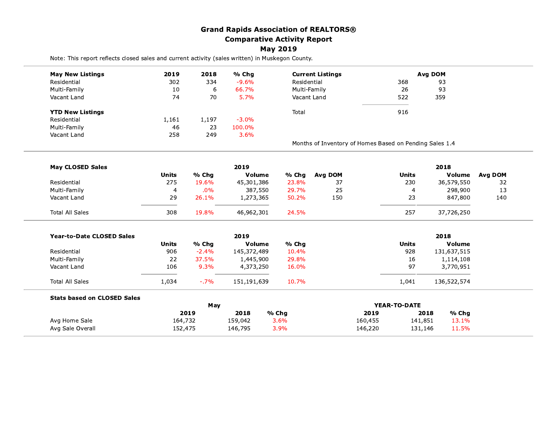|                                                                                                  |                |             | <b>Grand Rapids Association of REALTORS®</b> |                 |                                                         |         |              |                |                |
|--------------------------------------------------------------------------------------------------|----------------|-------------|----------------------------------------------|-----------------|---------------------------------------------------------|---------|--------------|----------------|----------------|
|                                                                                                  |                |             | <b>Comparative Activity Report</b>           |                 |                                                         |         |              |                |                |
|                                                                                                  |                |             |                                              | <b>May 2019</b> |                                                         |         |              |                |                |
| Note: This report reflects closed sales and current activity (sales written) in Muskegon County. |                |             |                                              |                 |                                                         |         |              |                |                |
| <b>May New Listings</b>                                                                          | 2019           | 2018        | % Chg                                        |                 | <b>Current Listings</b>                                 |         |              | <b>Avg DOM</b> |                |
| Residential                                                                                      | 302            | 334         | $-9.6%$                                      | Residential     |                                                         |         | 368          | 93             |                |
| Multi-Family                                                                                     | 10             | 6           | 66.7%                                        | Multi-Family    |                                                         |         | 26           | 93             |                |
| Vacant Land                                                                                      | 74             | 70          | 5.7%                                         | Vacant Land     |                                                         |         | 522          | 359            |                |
| <b>YTD New Listings</b>                                                                          |                |             |                                              | Total           |                                                         |         | 916          |                |                |
| Residential                                                                                      | 1,161          | 1,197       | $-3.0%$                                      |                 |                                                         |         |              |                |                |
| Multi-Family                                                                                     | 46             | 23          | 100.0%                                       |                 |                                                         |         |              |                |                |
| Vacant Land                                                                                      | 258            | 249         | 3.6%                                         |                 |                                                         |         |              |                |                |
|                                                                                                  |                |             |                                              |                 | Months of Inventory of Homes Based on Pending Sales 1.4 |         |              |                |                |
|                                                                                                  |                |             |                                              |                 |                                                         |         |              |                |                |
| <b>May CLOSED Sales</b>                                                                          | <b>Units</b>   | % Chg       | 2019<br>Volume                               | % Chg           | Avg DOM                                                 |         | <b>Units</b> | 2018<br>Volume | <b>Avg DOM</b> |
| Residential                                                                                      | 275            | 19.6%       | 45,301,386                                   | 23.8%           | 37                                                      |         | 230          | 36,579,550     | 32             |
| Multi-Family                                                                                     | $\overline{a}$ | .0%         | 387,550                                      | 29.7%           | 25                                                      |         | 4            | 298,900        | 13             |
| Vacant Land                                                                                      | 29             | 26.1%       | 1,273,365                                    | 50.2%           | 150                                                     |         | 23           | 847,800        | 140            |
| <b>Total All Sales</b>                                                                           | 308            | 19.8%       | 46,962,301                                   | 24.5%           |                                                         |         | 257          | 37,726,250     |                |
|                                                                                                  |                |             |                                              |                 |                                                         |         |              |                |                |
| <b>Year-to-Date CLOSED Sales</b>                                                                 |                |             | 2019                                         |                 |                                                         |         |              | 2018           |                |
|                                                                                                  | <b>Units</b>   | % Chg       | Volume                                       | % Chg           |                                                         |         | <b>Units</b> | <b>Volume</b>  |                |
| Residential                                                                                      | 906            | $-2.4%$     | 145,372,489                                  | 10.4%           |                                                         |         | 928          | 131,637,515    |                |
| Multi-Family                                                                                     | 22             | 37.5%       | 1,445,900                                    | 29.8%           |                                                         |         | 16           | 1,114,108      |                |
| Vacant Land                                                                                      | 106            | 9.3%        | 4,373,250                                    | 16.0%           |                                                         |         | 97           | 3,770,951      |                |
| Total All Sales                                                                                  | 1,034          | $-0.7\%$    | 151,191,639                                  | 10.7%           |                                                         |         | 1,041        | 136,522,574    |                |
| <b>Stats based on CLOSED Sales</b>                                                               |                |             |                                              |                 |                                                         |         |              |                |                |
|                                                                                                  |                | May<br>2019 | 2018                                         | % Chg           |                                                         | 2019    | YEAR-TO-DATE | 2018<br>% Chg  |                |
| Avg Home Sale                                                                                    | 164,732        |             | 159,042                                      | 3.6%            |                                                         | 160,455 | 141,851      | 13.1%          |                |
| Avg Sale Overall                                                                                 | 152,475        |             | 146,795                                      | 3.9%            |                                                         | 146,220 | 131,146      | 11.5%          |                |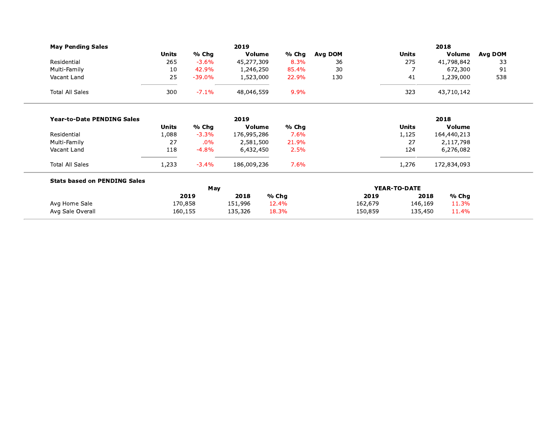| <b>May Pending Sales</b>            |         |           | 2019        |       | 2018                |         |         |               |         |
|-------------------------------------|---------|-----------|-------------|-------|---------------------|---------|---------|---------------|---------|
|                                     | Units   | % Chg     | Volume      | % Chg | Avg DOM             |         | Units   | Volume        | Avg DOM |
| Residential                         | 265     | $-3.6\%$  | 45,277,309  | 8.3%  | 36                  |         | 275     | 41,798,842    | 33      |
| Multi-Family                        | 10      | 42.9%     | 1,246,250   | 85.4% | 30                  |         |         | 672,300       | 91      |
| Vacant Land                         | 25      | $-39.0\%$ | 1,523,000   | 22.9% | 130                 |         | 41      | 1,239,000     | 538     |
| <b>Total All Sales</b>              | 300     | $-7.1%$   | 48,046,559  | 9.9%  |                     |         | 323     | 43,710,142    |         |
| <b>Year-to-Date PENDING Sales</b>   |         |           | 2019        |       |                     |         |         | 2018          |         |
|                                     | Units   | $%$ Chg   | Volume      | % Chg |                     |         | Units   | <b>Volume</b> |         |
| Residential                         | 1,088   | $-3.3%$   | 176,995,286 | 7.6%  |                     |         | 1,125   | 164,440,213   |         |
| Multi-Family                        | 27      | $.0\%$    | 2,581,500   | 21.9% |                     |         | 27      | 2,117,798     |         |
| Vacant Land                         | 118     | $-4.8%$   | 6,432,450   | 2.5%  |                     |         | 124     | 6,276,082     |         |
| <b>Total All Sales</b>              | 1,233   | $-3.4%$   | 186,009,236 | 7.6%  |                     |         | 1,276   | 172,834,093   |         |
| <b>Stats based on PENDING Sales</b> |         |           |             |       |                     |         |         |               |         |
|                                     | May     |           |             |       | <b>YEAR-TO-DATE</b> |         |         |               |         |
|                                     |         | 2019      | 2018        | % Chg |                     | 2019    | 2018    | $%$ Chg       |         |
| Avg Home Sale                       | 170,858 |           | 151,996     | 12.4% |                     | 162,679 | 146,169 | 11.3%         |         |
| Avg Sale Overall                    | 160,155 |           | 135,326     | 18.3% |                     | 150,859 | 135,450 | 11.4%         |         |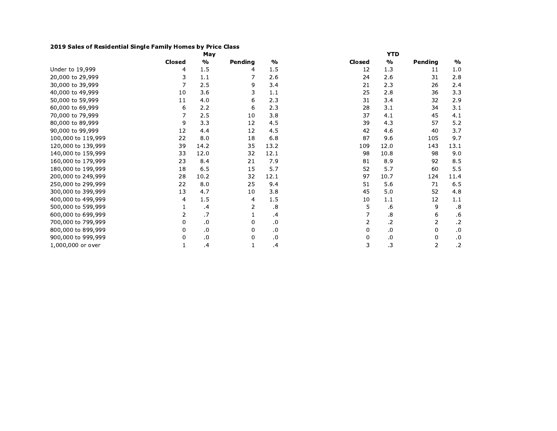## 2019 Sales of Residential Single Family Homes by Price Class

|                    |               | May     |         |               | <b>YTD</b>    |               |         |               |  |  |
|--------------------|---------------|---------|---------|---------------|---------------|---------------|---------|---------------|--|--|
|                    | <b>Closed</b> | $\%$    | Pending | $\frac{0}{0}$ | <b>Closed</b> | $\frac{0}{0}$ | Pending | $\frac{0}{0}$ |  |  |
| Under to 19,999    | 4             | 1.5     | 4       | 1.5           | 12            | 1.3           | 11      | 1.0           |  |  |
| 20,000 to 29,999   | 3             | 1.1     |         | 2.6           | 24            | 2.6           | 31      | 2.8           |  |  |
| 30,000 to 39,999   | 7             | 2.5     | 9       | 3.4           | 21            | 2.3           | 26      | 2.4           |  |  |
| 40,000 to 49,999   | 10            | 3.6     | 3       | 1.1           | 25            | 2.8           | 36      | 3.3           |  |  |
| 50,000 to 59,999   | 11            | 4.0     | 6       | 2.3           | 31            | 3.4           | 32      | 2.9           |  |  |
| 60,000 to 69,999   | 6             | 2.2     | 6       | 2.3           | 28            | 3.1           | 34      | 3.1           |  |  |
| 70,000 to 79,999   | 7             | 2.5     | 10      | 3.8           | 37            | 4.1           | 45      | 4.1           |  |  |
| 80,000 to 89,999   | 9             | 3.3     | 12      | 4.5           | 39            | 4.3           | 57      | 5.2           |  |  |
| 90,000 to 99,999   | 12            | 4.4     | 12      | 4.5           | 42            | 4.6           | 40      | 3.7           |  |  |
| 100,000 to 119,999 | 22            | 8.0     | 18      | 6.8           | 87            | 9.6           | 105     | 9.7           |  |  |
| 120,000 to 139,999 | 39            | 14.2    | 35      | 13.2          | 109           | 12.0          | 143     | 13.1          |  |  |
| 140,000 to 159,999 | 33            | 12.0    | 32      | 12.1          | 98            | 10.8          | 98      | 9.0           |  |  |
| 160,000 to 179,999 | 23            | 8.4     | 21      | 7.9           | 81            | 8.9           | 92      | 8.5           |  |  |
| 180,000 to 199,999 | 18            | 6.5     | 15      | 5.7           | 52            | 5.7           | 60      | 5.5           |  |  |
| 200,000 to 249,999 | 28            | 10.2    | 32      | 12.1          | 97            | 10.7          | 124     | 11.4          |  |  |
| 250,000 to 299,999 | 22            | 8.0     | 25      | 9.4           | 51            | 5.6           | 71      | 6.5           |  |  |
| 300,000 to 399,999 | 13            | 4.7     | 10      | 3.8           | 45            | 5.0           | 52      | 4.8           |  |  |
| 400,000 to 499,999 | 4             | 1.5     | 4       | 1.5           | 10            | 1.1           | 12      | 1.1           |  |  |
| 500,000 to 599,999 | 1             | .4      | 2       | .8            | 5             | .6            | 9       | .8            |  |  |
| 600,000 to 699,999 | 2             | .7      | 1       | $\cdot$       | 7             | .8            | 6       | .6            |  |  |
| 700,000 to 799,999 | 0             | .0      | 0       | .0            | 2             | .2            | 2       | $\cdot$       |  |  |
| 800,000 to 899,999 | 0             | $\cdot$ | 0       | .0            | 0             | .0            | 0       | .0            |  |  |
| 900,000 to 999,999 | 0             | 0.      | 0       | .0            | 0             | .0            | 0       | $\cdot$       |  |  |
| 1,000,000 or over  | 1             | $\cdot$ |         | $\cdot$       | 3             | .3            | 2       | $\cdot$ .2    |  |  |